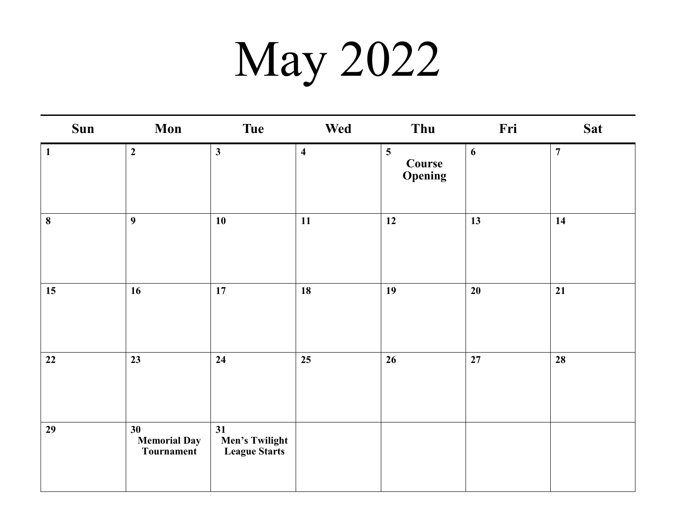## May 2022

| Sun          | Mon                                     | <b>Tue</b>                            | Wed                     | Thu                                                | Fri | <b>Sat</b>       |
|--------------|-----------------------------------------|---------------------------------------|-------------------------|----------------------------------------------------|-----|------------------|
| $\mathbf{1}$ | $\overline{2}$                          | $\mathbf{3}$                          | $\overline{\mathbf{4}}$ | $5\overline{)}$<br><b>Course</b><br><b>Opening</b> | 6   | $\boldsymbol{7}$ |
| $\bf{8}$     | $\overline{9}$                          | 10                                    | 11                      | 12                                                 | 13  | 14               |
| 15           | 16                                      | 17                                    | 18                      | 19                                                 | 20  | 21               |
| 22           | 23                                      | 24                                    | 25                      | 26                                                 | 27  | 28               |
| 29           | 30<br><b>Memorial Day</b><br>Tournament | 31<br>Men's Twilight<br>League Starts |                         |                                                    |     |                  |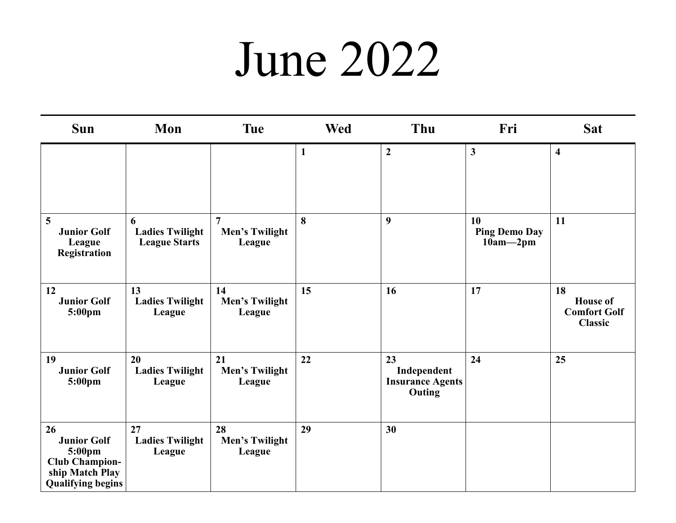#### June 2022

| <b>Sun</b>                                                                                                 | Mon                                                 | <b>Tue</b>                                 | <b>Wed</b>   | Thu                                                    | Fri                                        | <b>Sat</b>                                                     |
|------------------------------------------------------------------------------------------------------------|-----------------------------------------------------|--------------------------------------------|--------------|--------------------------------------------------------|--------------------------------------------|----------------------------------------------------------------|
|                                                                                                            |                                                     |                                            | $\mathbf{1}$ | $\overline{2}$                                         | $\mathbf{3}$                               | $\overline{\mathbf{4}}$                                        |
| 5<br><b>Junior Golf</b><br>League<br>Registration                                                          | 6<br><b>Ladies Twilight</b><br><b>League Starts</b> | $\overline{7}$<br>Men's Twilight<br>League | 8            | $\boldsymbol{9}$                                       | 10<br><b>Ping Demo Day</b><br>$10am - 2pm$ | 11                                                             |
| 12<br><b>Junior Golf</b><br>5:00pm                                                                         | 13<br><b>Ladies Twilight</b><br>League              | 14<br>Men's Twilight<br>League             | 15           | 16                                                     | 17                                         | 18<br><b>House of</b><br><b>Comfort Golf</b><br><b>Classic</b> |
| 19<br><b>Junior Golf</b><br>5:00pm                                                                         | 20<br><b>Ladies Twilight</b><br>League              | 21<br>Men's Twilight<br>League             | 22           | 23<br>Independent<br><b>Insurance Agents</b><br>Outing | 24                                         | 25                                                             |
| 26<br><b>Junior Golf</b><br>5:00pm<br><b>Club Champion-</b><br>ship Match Play<br><b>Qualifying begins</b> | 27<br><b>Ladies Twilight</b><br>League              | 28<br>Men's Twilight<br>League             | 29           | 30                                                     |                                            |                                                                |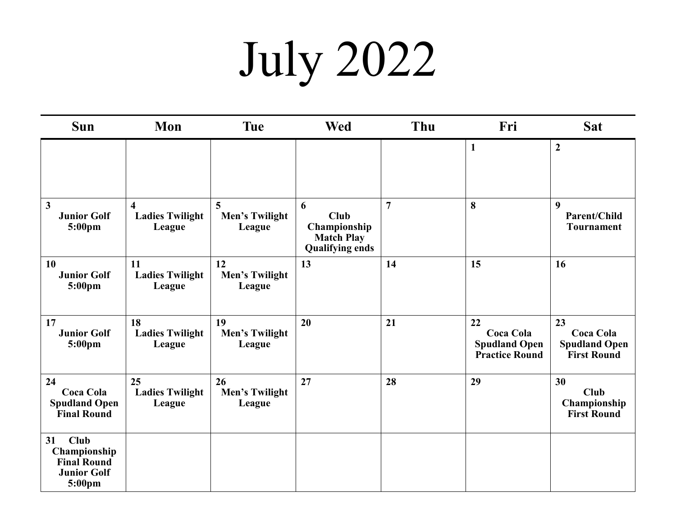# July 2022

| <b>Sun</b>                                                                              | Mon                                    | <b>Tue</b>                     | <b>Wed</b>                                                                      | Thu            | Fri                                                                     | <b>Sat</b>                                                           |
|-----------------------------------------------------------------------------------------|----------------------------------------|--------------------------------|---------------------------------------------------------------------------------|----------------|-------------------------------------------------------------------------|----------------------------------------------------------------------|
|                                                                                         |                                        |                                |                                                                                 |                | $\mathbf{1}$                                                            | $\boldsymbol{2}$                                                     |
| $\mathbf{3}$<br><b>Junior Golf</b><br>5:00pm                                            | <b>Ladies Twilight</b><br>League       | 5<br>Men's Twilight<br>League  | 6<br><b>Club</b><br>Championship<br><b>Match Play</b><br><b>Qualifying ends</b> | $\overline{7}$ | 8                                                                       | $\boldsymbol{9}$<br>Parent/Child<br><b>Tournament</b>                |
| 10<br><b>Junior Golf</b><br>5:00pm                                                      | 11<br><b>Ladies Twilight</b><br>League | 12<br>Men's Twilight<br>League | 13                                                                              | 14             | 15                                                                      | 16                                                                   |
| 17<br><b>Junior Golf</b><br>5:00 <sub>pm</sub>                                          | 18<br><b>Ladies Twilight</b><br>League | 19<br>Men's Twilight<br>League | 20                                                                              | 21             | 22<br><b>Coca Cola</b><br><b>Spudland Open</b><br><b>Practice Round</b> | 23<br><b>Coca Cola</b><br><b>Spudland Open</b><br><b>First Round</b> |
| 24<br><b>Coca Cola</b><br><b>Spudland Open</b><br><b>Final Round</b>                    | 25<br><b>Ladies Twilight</b><br>League | 26<br>Men's Twilight<br>League | 27                                                                              | 28             | 29                                                                      | 30<br><b>Club</b><br>Championship<br><b>First Round</b>              |
| 31<br><b>Club</b><br>Championship<br><b>Final Round</b><br><b>Junior Golf</b><br>5:00pm |                                        |                                |                                                                                 |                |                                                                         |                                                                      |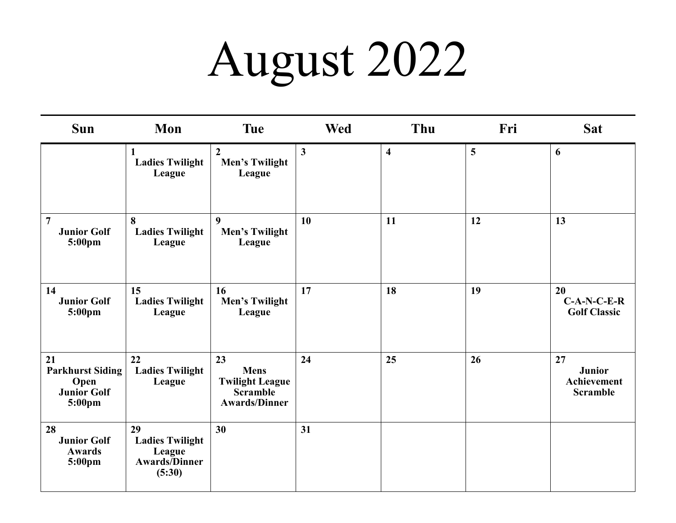### August 2022

| <b>Sun</b>                                                            | Mon                                                                             | <b>Tue</b>                                                                             | <b>Wed</b>   | Thu                     | Fri             | Sat                                                   |
|-----------------------------------------------------------------------|---------------------------------------------------------------------------------|----------------------------------------------------------------------------------------|--------------|-------------------------|-----------------|-------------------------------------------------------|
|                                                                       | <b>Ladies Twilight</b><br>League                                                | $\overline{2}$<br>Men's Twilight<br>League                                             | $\mathbf{3}$ | $\overline{\mathbf{4}}$ | $5\overline{)}$ | 6                                                     |
| $\overline{7}$<br><b>Junior Golf</b><br>5:00pm                        | 8<br><b>Ladies Twilight</b><br>League                                           | 9<br>Men's Twilight<br>League                                                          | 10           | 11                      | 12              | 13                                                    |
| 14<br><b>Junior Golf</b><br>5:00pm                                    | 15<br><b>Ladies Twilight</b><br>League                                          | 16<br>Men's Twilight<br>League                                                         | 17           | 18                      | 19              | 20<br>$C-A-N-C-E-R$<br><b>Golf Classic</b>            |
| 21<br><b>Parkhurst Siding</b><br>Open<br><b>Junior Golf</b><br>5:00pm | 22<br><b>Ladies Twilight</b><br>League                                          | 23<br><b>Mens</b><br><b>Twilight League</b><br><b>Scramble</b><br><b>Awards/Dinner</b> | 24           | 25                      | 26              | 27<br><b>Junior</b><br>Achievement<br><b>Scramble</b> |
| 28<br><b>Junior Golf</b><br><b>Awards</b><br>5:00pm                   | 29<br><b>Ladies Twilight</b><br>League<br><b>Awards</b> <i>Dinner</i><br>(5:30) | 30                                                                                     | 31           |                         |                 |                                                       |